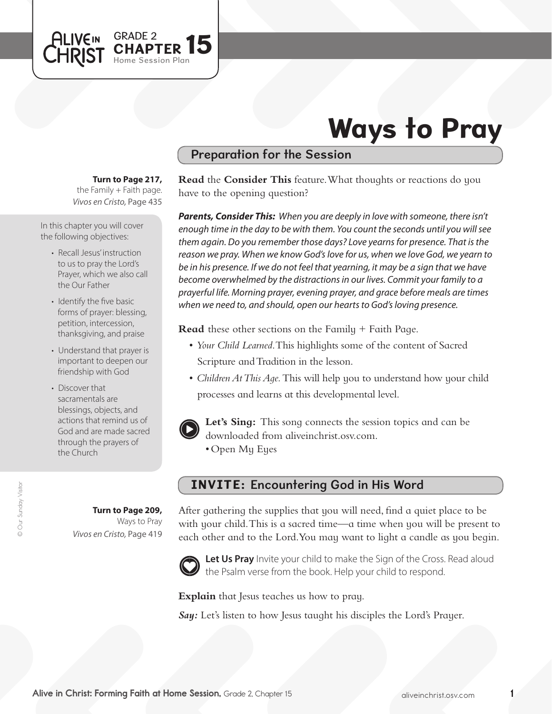

# Ways to Pray

## Preparation for the Session

**Turn to Page 217,** 

*Vivos en Cristo,* Page 435 the Family  $+$  Faith page.

In this chapter you will cover the following objectives:

- Recall Jesus' instruction to us to pray the Lord's Prayer, which we also call the Our Father
- Identify the five basic forms of prayer: blessing, petition, intercession, thanksgiving, and praise
- Understand that prayer is important to deepen our friendship with God
- Discover that sacramentals are blessings, objects, and actions that remind us of God and are made sacred through the prayers of the Church

© Our Sunday Visitor © Our Sunday Visitor

**Turn to Page 209,** Ways to Pray *Vivos en Cristo,* Page 419 **Read** the **Consider This** feature. What thoughts or reactions do you have to the opening question?

*Parents, Consider This: When you are deeply in love with someone, there isn't enough time in the day to be with them. You count the seconds until you will see them again. Do you remember those days? Love yearns for presence. That is the reason we pray. When we know God's love for us, when we love God, we yearn to be in his presence. If we do not feel that yearning, it may be a sign that we have become overwhelmed by the distractions in our lives. Commit your family to a prayerful life. Morning prayer, evening prayer, and grace before meals are times when we need to, and should, open our hearts to God's loving presence.*

**Read** these other sections on the Family + Faith Page.

- • *Your Child Learned*. This highlights some of the content of Sacred Scripture and Tradition in the lesson.
- *Children At This Aqe*. This will help you to understand how your child processes and learns at this developmental level.



Let's Sing: This song connects the session topics and can be downloaded from aliveinchrist.osv.com.

• Open My Eyes

### INVITE: Encountering God in His Word

After gathering the supplies that you will need, find a quiet place to be with your child. This is a sacred time—a time when you will be present to each other and to the Lord. You may want to light a candle as you begin.



Let Us Pray Invite your child to make the Sign of the Cross. Read aloud the Psalm verse from the book. Help your child to respond.

**Explain** that Jesus teaches us how to pray.

*Say:* Let's listen to how Jesus taught his disciples the Lord's Prayer.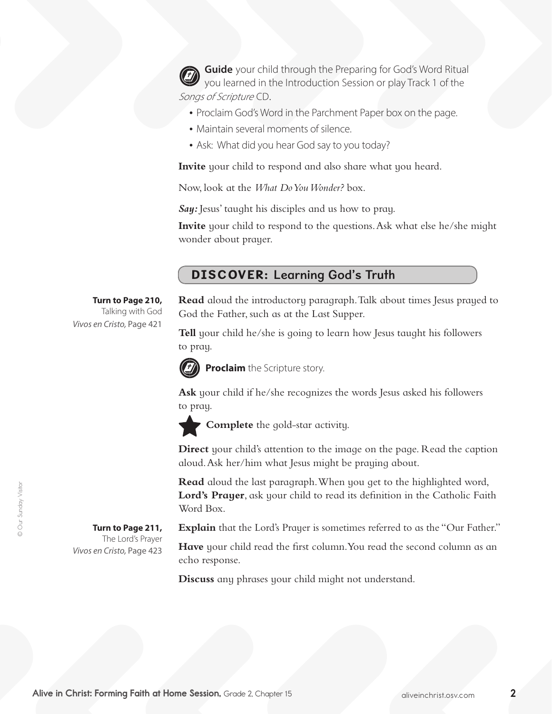**Guide** your child through the Preparing for God's Word Ritual you learned in the Introduction Session or play Track 1 of the Songs of Scripture CD.

- Proclaim God's Word in the Parchment Paper box on the page.
- Maintain several moments of silence.
- Ask: What did you hear God say to you today?

**Invite** your child to respond and also share what you heard.

Now, look at the *What Do You Wonder?* box.

Say: Jesus' taught his disciples and us how to pray.

**Invite** your child to respond to the questions. Ask what else he/she might wonder about prayer.

### DISCOVER: Learning God's Truth

#### **Turn to Page 210,** Talking with God

**Turn to Page 211,**  The Lord's Prayer

*Vivos en Cristo,* Page 423

*Vivos en Cristo,* Page 421

**Read** aloud the introductory paragraph. Talk about times Jesus prayed to God the Father, such as at the Last Supper.

**Tell** your child he/she is going to learn how Jesus taught his followers to pray.



**Proclaim** the Scripture story.

**Ask** your child if he/she recognizes the words Jesus asked his followers to pray.



**Complete** the gold-star activity.

**Direct** your child's attention to the image on the page. Read the caption aloud. Ask her/him what Jesus might be praying about.

**Read** aloud the last paragraph. When you get to the highlighted word, Lord's Prayer, ask your child to read its definition in the Catholic Faith Word Box.

**Explain** that the Lord's Prayer is sometimes referred to as the "Our Father."

**Have** your child read the first column. You read the second column as an echo response.

**Discuss** any phrases your child might not understand.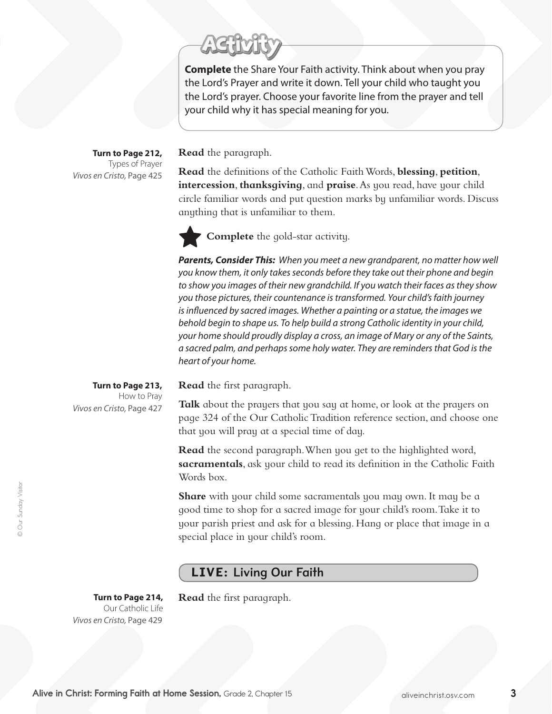**Complete** the Share Your Faith activity. Think about when you pray the Lord's Prayer and write it down. Tell your child who taught you the Lord's prayer. Choose your favorite line from the prayer and tell your child why it has special meaning for you.

**Turn to Page 212,** Types of Prayer *Vivos en Cristo,* Page 425

**Read** the paragraph.

**Read** the definitions of the Catholic Faith Words, **blessing**, **petition**, **intercession**, **thanksgiving**, and **praise**. As you read, have your child circle familiar words and put question marks by unfamiliar words. Discuss anything that is unfamiliar to them.



*Parents, Consider This: When you meet a new grandparent, no matter how well you know them, it only takes seconds before they take out their phone and begin to show you images of their new grandchild. If you watch their faces as they show you those pictures, their countenance is transformed. Your child's faith journey is influenced by sacred images. Whether a painting or a statue, the images we behold begin to shape us. To help build a strong Catholic identity in your child, your home should proudly display a cross, an image of Mary or any of the Saints, a sacred palm, and perhaps some holy water. They are reminders that God is the heart of your home.* 

**Read** the first paragraph.

**Talk** about the prayers that you say at home, or look at the prayers on page 324 of the Our CatholicTradition reference section, and choose one that you will pray at a special time of day.

**Read** the second paragraph. When you get to the highlighted word, **sacramentals**, ask your child to read its definition in the Catholic Faith Words box.

**Share** with your child some sacramentals you may own. It may be a good time to shop for a sacred image for your child's room. Take it to your parish priest and ask for a blessing. Hang or place that image in a special place in your child's room.

## LIVE: Living Our Faith

**Turn to Page 214,**  Our Catholic Life *Vivos en Cristo,* Page 429

**Read** the first paragraph.

**Turn to Page 213,** How to Pray *Vivos en Cristo,* Page 427